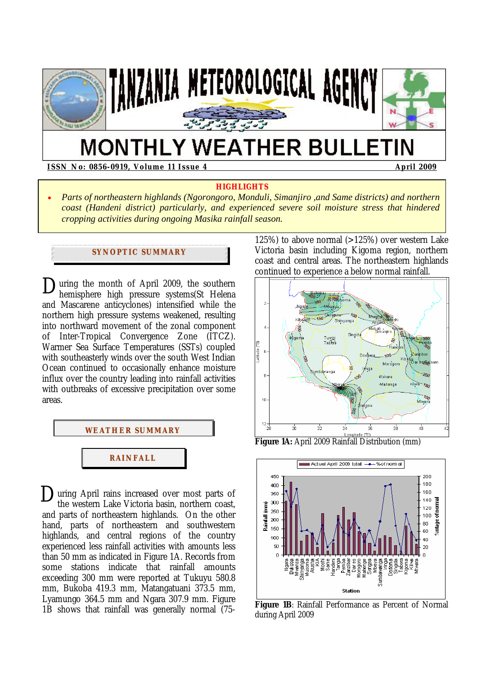

# **MONTHLY WEATHER BULLETIN**

## **ISSN No: 0856-0919, Volume 11 Issue 4 April 2009**  April 2009

## **HIGHLIGHTS**

• *Parts of northeastern highlands (Ngorongoro, Monduli, Simanjiro ,and Same districts) and northern coast (Handeni district) particularly, and experienced severe soil moisture stress that hindered cropping activities during ongoing Masika rainfall season.*

# **SYNOPTIC SUMMARY**

During the month of April 2009, the southern<br>hemisphere high pressure systems(St Helena hemisphere high pressure systems(St Helena and Mascarene anticyclones) intensified while the northern high pressure systems weakened, resulting into northward movement of the zonal component of Inter-Tropical Convergence Zone (ITCZ). Warmer Sea Surface Temperatures (SSTs) coupled with southeasterly winds over the south West Indian Ocean continued to occasionally enhance moisture influx over the country leading into rainfall activities with outbreaks of excessive precipitation over some areas.



 $\sum$ uring April rains increased over most parts of the western Lake Victoria basin, northern coast. the western Lake Victoria basin, northern coast, and parts of northeastern highlands. On the other hand, parts of northeastern and southwestern highlands, and central regions of the country experienced less rainfall activities with amounts less than 50 mm as indicated in Figure 1A. Records from some stations indicate that rainfall amounts exceeding 300 mm were reported at Tukuyu 580.8 mm, Bukoba 419.3 mm, Matangatuani 373.5 mm, Lyamungo 364.5 mm and Ngara 307.9 mm. Figure 1B shows that rainfall was generally normal (75125%) to above normal  $(>125%)$  over western Lake Victoria basin including Kigoma region, northern coast and central areas. The northeastern highlands continued to experience a below normal rainfall.



**Figure 1A:** April 2009 Rainfall Distribution (mm)



**Figure 1B**: Rainfall Performance as Percent of Normal during April 2009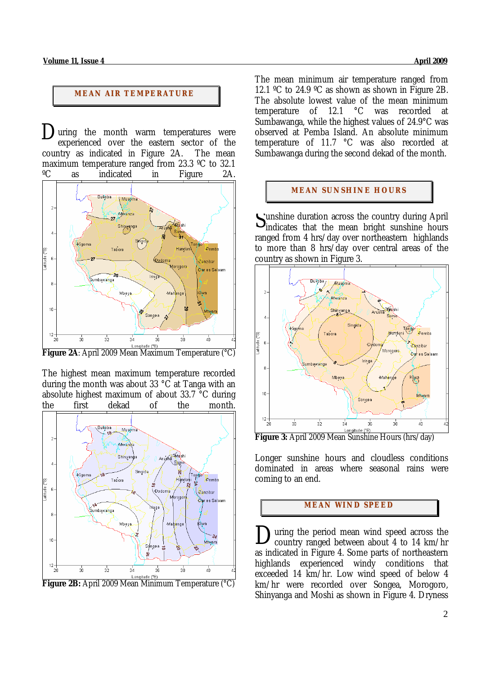# **MEAN AIR TEMPERATURE**

 $\sum$  uring the month warm temperatures were experienced over the eastern sector of the country as indicated in Figure 2A. The mean maximum temperature ranged from 23.3 ºC to 32.1



**Figure 2A**: April 2009 Mean Maximum Temperature (°C)

The highest mean maximum temperature recorded during the month was about 33  $\degree$ C at Tanga with an absolute highest maximum of about 33.7 °C during the first dekad of the month.



**Figure 2B:** April 2009 Mean Minimum Temperature (°C)

The mean minimum air temperature ranged from 12.1 ºC to 24.9 ºC as shown as shown in Figure 2B. The absolute lowest value of the mean minimum<br>temperature of  $12.1\degree$ C was recorded at temperature of  $12.1$ Sumbawanga, while the highest values of 24.9°C was observed at Pemba Island. An absolute minimum temperature of 11.7 °C was also recorded at Sumbawanga during the second dekad of the month.

## **MEAN SUNSHINE HOURS**

unshine duration across the country during April Sunshine duration across the country during April<br>
indicates that the mean bright sunshine hours ranged from 4 hrs/day over northeastern highlands to more than 8 hrs/day over central areas of the country as shown in Figure 3.



**Figure 3:** April 2009 Mean Sunshine Hours (hrs/day)

Longer sunshine hours and cloudless conditions dominated in areas where seasonal rains were coming to an end.

# **MEAN WI ND SPEED**

uring the period mean wind speed across the country ranged between about 4 to 14 km/hr as indicated in Figure 4. Some parts of northeastern highlands experienced windy conditions that exceeded 14 km/hr. Low wind speed of below 4 km/hr were recorded over Songea, Morogoro, Shinyanga and Moshi as shown in Figure 4. Dryness D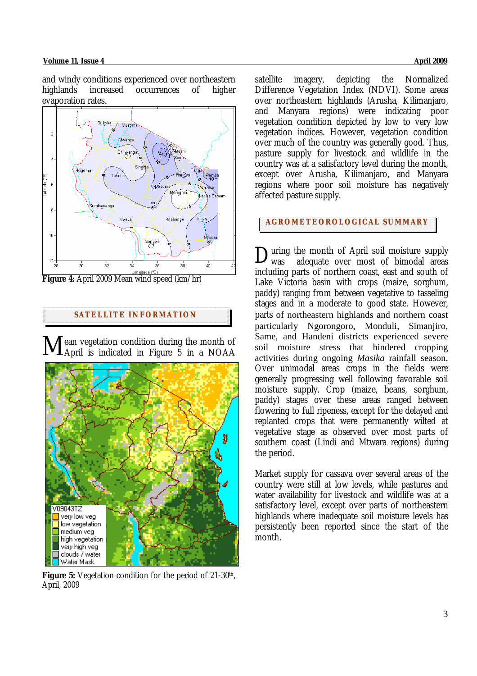#### **Volume 11, Issue 4 April 2009**

and windy conditions experienced over northeastern highlands increased occurrences of higher evaporation rates*.* 



**Figure 4:** April 2009 Mean wind speed (km/hr)

## **SATELLITE I NFORMATION**

ean vegetation condition during the month of April is indicated in Figure 5 in a NOAA  $M_{\rm A}^{\rm eq}$ 



**Figure 5:** Vegetation condition for the period of 21-30<sup>th</sup>, April, 2009

satellite imagery, depicting the Normalized Difference Vegetation Index (NDVI). Some areas over northeastern highlands (Arusha, Kilimanjaro, and Manyara regions) were indicating poor vegetation condition depicted by low to very low vegetation indices. However, vegetation condition over much of the country was generally good. Thus, pasture supply for livestock and wildlife in the country was at a satisfactory level during the month, except over Arusha, Kilimanjaro, and Manyara regions where poor soil moisture has negatively affected pasture supply.

# **AGROMETEOROLOGICAL SUMMARY**

uring the month of April soil moisture supply was adequate over most of bimodal areas including parts of northern coast, east and south of Lake Victoria basin with crops (maize, sorghum, paddy) ranging from between vegetative to tasseling stages and in a moderate to good state. However, parts of northeastern highlands and northern coast particularly Ngorongoro, Monduli, Simanjiro, Same, and Handeni districts experienced severe soil moisture stress that hindered cropping activities during ongoing *Masika* rainfall season. Over unimodal areas crops in the fields were generally progressing well following favorable soil moisture supply. Crop (maize, beans, sorghum, paddy) stages over these areas ranged between flowering to full ripeness, except for the delayed and replanted crops that were permanently wilted at vegetative stage as observed over most parts of southern coast (Lindi and Mtwara regions) during the period. D

Market supply for cassava over several areas of the country were still at low levels, while pastures and water availability for livestock and wildlife was at a satisfactory level, except over parts of northeastern highlands where inadequate soil moisture levels has persistently been reported since the start of the month.